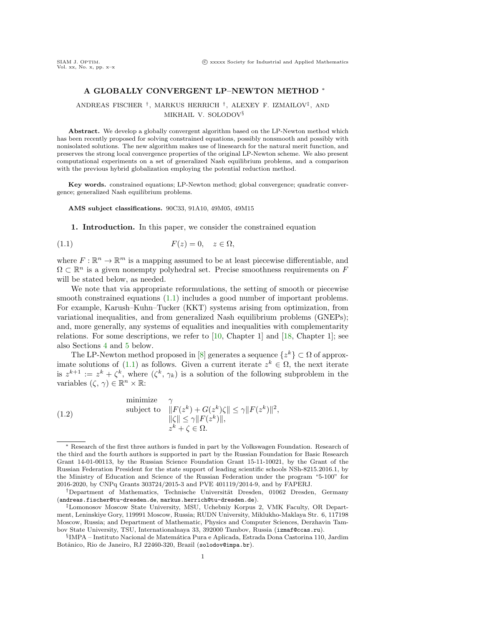## A GLOBALLY CONVERGENT LP–NEWTON METHOD <sup>∗</sup>

ANDREAS FISCHER † , MARKUS HERRICH † , ALEXEY F. IZMAILOV‡ , AND MIKHAIL V. SOLODOV§

Abstract. We develop a globally convergent algorithm based on the LP-Newton method which has been recently proposed for solving constrained equations, possibly nonsmooth and possibly with nonisolated solutions. The new algorithm makes use of linesearch for the natural merit function, and preserves the strong local convergence properties of the original LP-Newton scheme. We also present computational experiments on a set of generalized Nash equilibrium problems, and a comparison with the previous hybrid globalization employing the potential reduction method.

Key words. constrained equations; LP-Newton method; global convergence; quadratic convergence; generalized Nash equilibrium problems.

AMS subject classifications. 90C33, 91A10, 49M05, 49M15

<span id="page-0-0"></span>1. Introduction. In this paper, we consider the constrained equation

$$
(1.1) \t\t\t F(z) = 0, \t z \in \Omega,
$$

where  $F: \mathbb{R}^n \to \mathbb{R}^m$  is a mapping assumed to be at least piecewise differentiable, and  $\Omega \subset \mathbb{R}^n$  is a given nonempty polyhedral set. Precise smoothness requirements on F will be stated below, as needed.

We note that via appropriate reformulations, the setting of smooth or piecewise smooth constrained equations [\(1.1\)](#page-0-0) includes a good number of important problems. For example, Karush–Kuhn–Tucker (KKT) systems arising from optimization, from variational inequalities, and from generalized Nash equilibrium problems (GNEPs); and, more generally, any systems of equalities and inequalities with complementarity relations. For some descriptions, we refer to [\[10,](#page-20-0) Chapter 1] and [\[18,](#page-20-1) Chapter 1]; see also Sections [4](#page-9-0) and [5](#page-12-0) below.

The LP-Newton method proposed in [\[8\]](#page-20-2) generates a sequence  $\{z^k\} \subset \Omega$  of approximate solutions of  $(1.1)$  as follows. Given a current iterate  $z^k \in \Omega$ , the next iterate is  $z^{k+1} := z^k + \zeta^k$ , where  $(\zeta^k, \gamma_k)$  is a solution of the following subproblem in the variables  $(\zeta, \gamma) \in \mathbb{R}^n \times \mathbb{R}$ :

<span id="page-0-1"></span>(1.2)

\n
$$
\text{subject to} \quad \begin{aligned}\n &\gamma \\
 &||F(z^k) + G(z^k)\zeta|| \le \gamma ||F(z^k)||^2, \\
 &||\zeta|| \le \gamma ||F(z^k)||, \\
 &z^k + \zeta \in \Omega.\n \end{aligned}
$$

<sup>∗</sup> Research of the first three authors is funded in part by the Volkswagen Foundation. Research of the third and the fourth authors is supported in part by the Russian Foundation for Basic Research Grant 14-01-00113, by the Russian Science Foundation Grant 15-11-10021, by the Grant of the Russian Federation President for the state support of leading scientific schools NSh-8215.2016.1, by the Ministry of Education and Science of the Russian Federation under the program "5-100" for 2016-2020, by CNPq Grants 303724/2015-3 and PVE 401119/2014-9, and by FAPERJ.

<sup>†</sup>Department of Mathematics, Technische Universit¨at Dresden, 01062 Dresden, Germany (andreas.fischer@tu-dresden.de, markus.herrich@tu-dresden.de).

<sup>‡</sup>Lomonosov Moscow State University, MSU, Uchebniy Korpus 2, VMK Faculty, OR Department, Leninskiye Gory, 119991 Moscow, Russia; RUDN University, Miklukho-Maklaya Str. 6, 117198 Moscow, Russia; and Department of Mathematic, Physics and Computer Sciences, Derzhavin Tambov State University, TSU, Internationalnaya 33, 392000 Tambov, Russia (izmaf@ccas.ru).

 $\S$ IMPA – Instituto Nacional de Matemática Pura e Aplicada, Estrada Dona Castorina 110, Jardim Botânico, Rio de Janeiro, RJ 22460-320, Brazil (solodov@impa.br).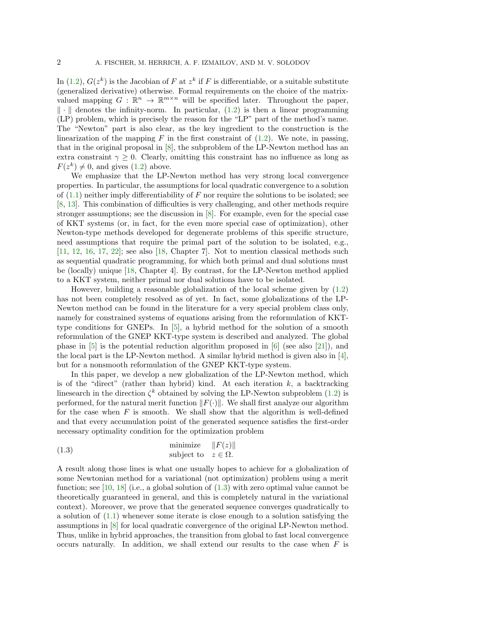In [\(1.2\)](#page-0-1),  $G(z^k)$  is the Jacobian of F at  $z^k$  if F is differentiable, or a suitable substitute (generalized derivative) otherwise. Formal requirements on the choice of the matrixvalued mapping  $G : \mathbb{R}^n \to \mathbb{R}^{m \times n}$  will be specified later. Throughout the paper,  $\|\cdot\|$  denotes the infinity-norm. In particular, [\(1.2\)](#page-0-1) is then a linear programming (LP) problem, which is precisely the reason for the "LP" part of the method's name. The "Newton" part is also clear, as the key ingredient to the construction is the linearization of the mapping  $F$  in the first constraint of  $(1.2)$ . We note, in passing, that in the original proposal in [\[8\]](#page-20-2), the subproblem of the LP-Newton method has an extra constraint  $\gamma \geq 0$ . Clearly, omitting this constraint has no influence as long as  $F(z^k) \neq 0$ , and gives [\(1.2\)](#page-0-1) above.

We emphasize that the LP-Newton method has very strong local convergence properties. In particular, the assumptions for local quadratic convergence to a solution of  $(1.1)$  neither imply differentiability of F nor require the solutions to be isolated; see [\[8,](#page-20-2) [13\]](#page-20-3). This combination of difficulties is very challenging, and other methods require stronger assumptions; see the discussion in [\[8\]](#page-20-2). For example, even for the special case of KKT systems (or, in fact, for the even more special case of optimization), other Newton-type methods developed for degenerate problems of this specific structure, need assumptions that require the primal part of the solution to be isolated, e.g.,  $[11, 12, 16, 17, 22]$  $[11, 12, 16, 17, 22]$  $[11, 12, 16, 17, 22]$  $[11, 12, 16, 17, 22]$  $[11, 12, 16, 17, 22]$  $[11, 12, 16, 17, 22]$  $[11, 12, 16, 17, 22]$  $[11, 12, 16, 17, 22]$  $[11, 12, 16, 17, 22]$ ; see also  $[18, Chapter 7]$  $[18, Chapter 7]$ . Not to mention classical methods such as sequential quadratic programming, for which both primal and dual solutions must be (locally) unique [\[18,](#page-20-1) Chapter 4]. By contrast, for the LP-Newton method applied to a KKT system, neither primal nor dual solutions have to be isolated.

However, building a reasonable globalization of the local scheme given by [\(1.2\)](#page-0-1) has not been completely resolved as of yet. In fact, some globalizations of the LP-Newton method can be found in the literature for a very special problem class only, namely for constrained systems of equations arising from the reformulation of KKTtype conditions for GNEPs. In [\[5\]](#page-20-9), a hybrid method for the solution of a smooth reformulation of the GNEP KKT-type system is described and analyzed. The global phase in  $\overline{5}$  is the potential reduction algorithm proposed in  $\overline{6}$  (see also  $\overline{21}$ ), and the local part is the LP-Newton method. A similar hybrid method is given also in [\[4\]](#page-20-12), but for a nonsmooth reformulation of the GNEP KKT-type system.

In this paper, we develop a new globalization of the LP-Newton method, which is of the "direct" (rather than hybrid) kind. At each iteration  $k$ , a backtracking linesearch in the direction  $\zeta^k$  obtained by solving the LP-Newton subproblem [\(1.2\)](#page-0-1) is performed, for the natural merit function  $||F(\cdot)||$ . We shall first analyze our algorithm for the case when  $F$  is smooth. We shall show that the algorithm is well-defined and that every accumulation point of the generated sequence satisfies the first-order necessary optimality condition for the optimization problem

<span id="page-1-0"></span>(1.3) 
$$
\begin{array}{ll}\text{minimize} & \|F(z)\|\\ \text{subject to} & z \in \Omega.\end{array}
$$

A result along those lines is what one usually hopes to achieve for a globalization of some Newtonian method for a variational (not optimization) problem using a merit function; see [\[10,](#page-20-0) [18\]](#page-20-1) (i.e., a global solution of  $(1.3)$  with zero optimal value cannot be theoretically guaranteed in general, and this is completely natural in the variational context). Moreover, we prove that the generated sequence converges quadratically to a solution of [\(1.1\)](#page-0-0) whenever some iterate is close enough to a solution satisfying the assumptions in [\[8\]](#page-20-2) for local quadratic convergence of the original LP-Newton method. Thus, unlike in hybrid approaches, the transition from global to fast local convergence occurs naturally. In addition, we shall extend our results to the case when  $F$  is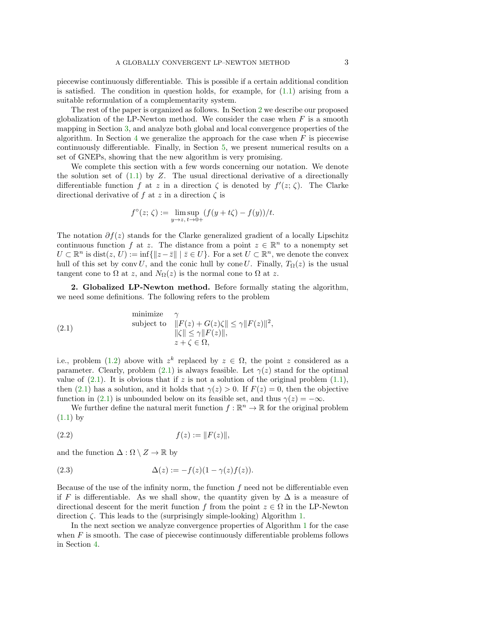piecewise continuously differentiable. This is possible if a certain additional condition is satisfied. The condition in question holds, for example, for [\(1.1\)](#page-0-0) arising from a suitable reformulation of a complementarity system.

The rest of the paper is organized as follows. In Section [2](#page-2-0) we describe our proposed globalization of the LP-Newton method. We consider the case when  $F$  is a smooth mapping in Section [3,](#page-3-0) and analyze both global and local convergence properties of the algorithm. In Section [4](#page-9-0) we generalize the approach for the case when  $F$  is piecewise continuously differentiable. Finally, in Section [5,](#page-12-0) we present numerical results on a set of GNEPs, showing that the new algorithm is very promising.

We complete this section with a few words concerning our notation. We denote the solution set of  $(1.1)$  by Z. The usual directional derivative of a directionally differentiable function f at z in a direction  $\zeta$  is denoted by  $f'(z; \zeta)$ . The Clarke directional derivative of f at z in a direction  $\zeta$  is

$$
f^{\circ}(z; \zeta) := \limsup_{y \to z, t \to 0+} (f(y + t\zeta) - f(y))/t.
$$

The notation  $\partial f(z)$  stands for the Clarke generalized gradient of a locally Lipschitz continuous function f at z. The distance from a point  $z \in \mathbb{R}^n$  to a nonempty set  $U \subset \mathbb{R}^n$  is  $dist(z, U) := \inf \{ ||z - \bar{z}|| \mid \bar{z} \in U \}$ . For a set  $U \subset \mathbb{R}^n$ , we denote the convex hull of this set by conv U, and the conic hull by cone U. Finally,  $T_{\Omega}(z)$  is the usual tangent cone to  $\Omega$  at z, and  $N_{\Omega}(z)$  is the normal cone to  $\Omega$  at z.

<span id="page-2-0"></span>2. Globalized LP-Newton method. Before formally stating the algorithm, we need some definitions. The following refers to the problem

<span id="page-2-1"></span>(2.1)   
\n
$$
\text{subject to} \quad \begin{aligned}\n &\gamma\\
 & \|\boldsymbol{F}(z) + \boldsymbol{G}(z)\zeta\| \le \gamma \|\boldsymbol{F}(z)\|^2, \\
 &\|\boldsymbol{\zeta}\| \le \gamma \|\boldsymbol{F}(z)\|, \\
 &\boldsymbol{z} + \zeta \in \Omega,\n\end{aligned}
$$

i.e., problem [\(1.2\)](#page-0-1) above with  $z^k$  replaced by  $z \in \Omega$ , the point z considered as a parameter. Clearly, problem [\(2.1\)](#page-2-1) is always feasible. Let  $\gamma(z)$  stand for the optimal value of [\(2.1\)](#page-2-1). It is obvious that if z is not a solution of the original problem  $(1.1)$ , then [\(2.1\)](#page-2-1) has a solution, and it holds that  $\gamma(z) > 0$ . If  $F(z) = 0$ , then the objective function in [\(2.1\)](#page-2-1) is unbounded below on its feasible set, and thus  $\gamma(z) = -\infty$ .

We further define the natural merit function  $f : \mathbb{R}^n \to \mathbb{R}$  for the original problem  $(1.1)$  by

<span id="page-2-2"></span>(2.2) 
$$
f(z) := ||F(z)||,
$$

and the function  $\Delta : \Omega \setminus Z \to \mathbb{R}$  by

<span id="page-2-3"></span>(2.3) 
$$
\Delta(z) := -f(z)(1 - \gamma(z)f(z)).
$$

Because of the use of the infinity norm, the function  $f$  need not be differentiable even if F is differentiable. As we shall show, the quantity given by  $\Delta$  is a measure of directional descent for the merit function f from the point  $z \in \Omega$  in the LP-Newton direction  $\zeta$ . This leads to the (surprisingly simple-looking) Algorithm [1.](#page-3-1)

In the next section we analyze convergence properties of Algorithm [1](#page-3-1) for the case when  $F$  is smooth. The case of piecewise continuously differentiable problems follows in Section [4.](#page-9-0)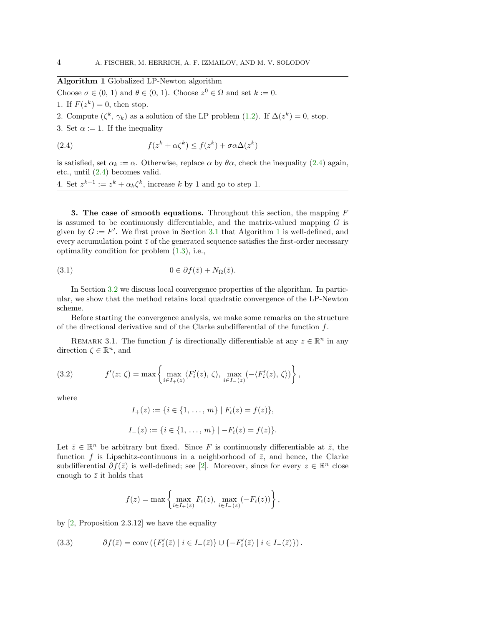# Algorithm 1 Globalized LP-Newton algorithm

<span id="page-3-1"></span>Choose  $\sigma \in (0, 1)$  and  $\theta \in (0, 1)$ . Choose  $z^0 \in \Omega$  and set  $k := 0$ .

1. If  $F(z^k) = 0$ , then stop.

2. Compute  $(\zeta^k, \gamma_k)$  as a solution of the LP problem [\(1.2\)](#page-0-1). If  $\Delta(z^k) = 0$ , stop.

3. Set  $\alpha := 1$ . If the inequality

<span id="page-3-2"></span>(2.4) 
$$
f(z^k + \alpha \zeta^k) \le f(z^k) + \sigma \alpha \Delta(z^k)
$$

is satisfied, set  $\alpha_k := \alpha$ . Otherwise, replace  $\alpha$  by  $\theta \alpha$ , check the inequality [\(2.4\)](#page-3-2) again, etc., until [\(2.4\)](#page-3-2) becomes valid.

4. Set  $z^{k+1} := z^k + \alpha_k \zeta^k$ , increase k by 1 and go to step 1.

<span id="page-3-0"></span>3. The case of smooth equations. Throughout this section, the mapping  $F$ is assumed to be continuously differentiable, and the matrix-valued mapping  $G$  is given by  $G := F'$ . We first prove in Section [3.1](#page-4-0) that Algorithm [1](#page-3-1) is well-defined, and every accumulation point  $\bar{z}$  of the generated sequence satisfies the first-order necessary optimality condition for problem [\(1.3\)](#page-1-0), i.e.,

<span id="page-3-5"></span>(3.1) 
$$
0 \in \partial f(\bar{z}) + N_{\Omega}(\bar{z}).
$$

In Section [3.2](#page-8-0) we discuss local convergence properties of the algorithm. In particular, we show that the method retains local quadratic convergence of the LP-Newton scheme.

Before starting the convergence analysis, we make some remarks on the structure of the directional derivative and of the Clarke subdifferential of the function  $f$ .

REMARK 3.1. The function f is directionally differentiable at any  $z \in \mathbb{R}^n$  in any direction  $\zeta \in \mathbb{R}^n$ , and

(3.2) 
$$
f'(z; \zeta) = \max \left\{ \max_{i \in I_+(z)} \langle F'_i(z), \zeta \rangle, \max_{i \in I_-(z)} (-\langle F'_i(z), \zeta \rangle) \right\},
$$

where

<span id="page-3-3"></span>
$$
I_{+}(z) := \{i \in \{1, ..., m\} \mid F_{i}(z) = f(z)\},
$$
  

$$
I_{-}(z) := \{i \in \{1, ..., m\} \mid -F_{i}(z) = f(z)\}.
$$

Let  $\bar{z} \in \mathbb{R}^n$  be arbitrary but fixed. Since F is continuously differentiable at  $\bar{z}$ , the function f is Lipschitz-continuous in a neighborhood of  $\bar{z}$ , and hence, the Clarke subdifferential  $\partial f(\bar{z})$  is well-defined; see [\[2\]](#page-20-13). Moreover, since for every  $z \in \mathbb{R}^n$  close enough to  $\bar{z}$  it holds that

$$
f(z) = \max \left\{ \max_{i \in I_+(z)} F_i(z), \max_{i \in I_-(z)} (-F_i(z)) \right\},\,
$$

by [\[2,](#page-20-13) Proposition 2.3.12] we have the equality

<span id="page-3-4"></span>(3.3) 
$$
\partial f(\bar{z}) = \text{conv}\left(\{F'_i(\bar{z}) \mid i \in I_+(\bar{z})\} \cup \{-F'_i(\bar{z}) \mid i \in I_-(\bar{z})\}\right).
$$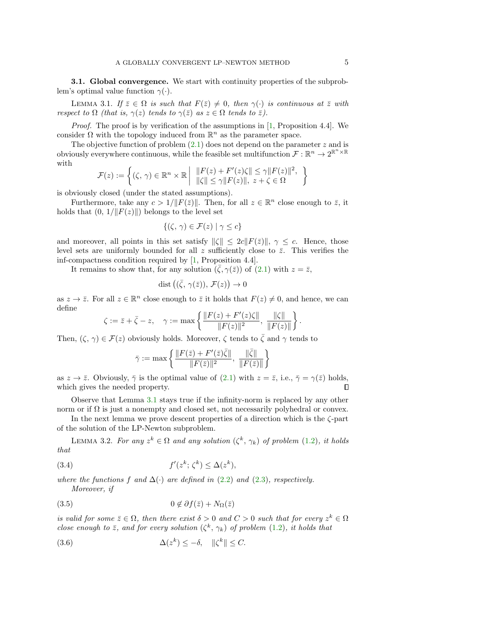<span id="page-4-0"></span>**3.1. Global convergence.** We start with continuity properties of the subproblem's optimal value function  $\gamma(\cdot)$ .

<span id="page-4-1"></span>LEMMA 3.1. If  $\bar{z} \in \Omega$  is such that  $F(\bar{z}) \neq 0$ , then  $\gamma(\cdot)$  is continuous at  $\bar{z}$  with respect to  $\Omega$  (that is,  $\gamma(z)$  tends to  $\gamma(\bar{z})$  as  $z \in \Omega$  tends to  $\bar{z}$ ).

Proof. The proof is by verification of the assumptions in [\[1,](#page-20-14) Proposition 4.4]. We consider  $\Omega$  with the topology induced from  $\mathbb{R}^n$  as the parameter space.

The objective function of problem  $(2.1)$  does not depend on the parameter z and is obviously everywhere continuous, while the feasible set multifunction  $\mathcal{F} : \mathbb{R}^n \to 2^{\mathbb{R}^n \times \mathbb{R}}$ with

$$
\mathcal{F}(z) := \left\{ (\zeta, \, \gamma) \in \mathbb{R}^n \times \mathbb{R} \middle| \begin{array}{l} \| F(z) + F'(z) \zeta \| \leq \gamma \| F(z) \|^2, \\ \| \zeta \| \leq \gamma \| F(z) \|, \ z + \zeta \in \Omega \end{array} \right\}
$$

is obviously closed (under the stated assumptions).

Furthermore, take any  $c > 1/\|F(\bar{z})\|$ . Then, for all  $z \in \mathbb{R}^n$  close enough to  $\bar{z}$ , it holds that  $(0, 1/\Vert F(z) \Vert)$  belongs to the level set

$$
\{(\zeta,\,\gamma)\in\mathcal{F}(z)\mid\gamma\leq c\}
$$

and moreover, all points in this set satisfy  $\|\zeta\| \leq 2c\|F(\bar{z})\|, \gamma \leq c$ . Hence, those level sets are uniformly bounded for all z sufficiently close to  $\bar{z}$ . This verifies the inf-compactness condition required by [\[1,](#page-20-14) Proposition 4.4].

It remains to show that, for any solution  $(\bar{\zeta}, \gamma(\bar{z}))$  of  $(2.1)$  with  $z = \bar{z}$ ,

$$
dist((\bar{\zeta}, \gamma(\bar{z})), \mathcal{F}(z)) \to 0
$$

as  $z \to \overline{z}$ . For all  $z \in \mathbb{R}^n$  close enough to  $\overline{z}$  it holds that  $F(z) \neq 0$ , and hence, we can define

$$
\zeta := \bar{z} + \bar{\zeta} - z, \quad \gamma := \max \left\{ \frac{\|F(z) + F'(z)\zeta\|}{\|F(z)\|^2}, \, \frac{\|\zeta\|}{\|F(z)\|} \right\}.
$$

Then,  $(\zeta, \gamma) \in \mathcal{F}(z)$  obviously holds. Moreover,  $\zeta$  tends to  $\bar{\zeta}$  and  $\gamma$  tends to

$$
\bar{\gamma}:=\max\left\{\frac{\|F(\bar{z})+F'(\bar{z})\bar{\zeta}\|}{\|F(\bar{z})\|^2},\; \frac{\|\bar{\zeta}\|}{\|F(\bar{z})\|}\right\}
$$

as  $z \to \bar{z}$ . Obviously,  $\bar{\gamma}$  is the optimal value of [\(2.1\)](#page-2-1) with  $z = \bar{z}$ , i.e.,  $\bar{\gamma} = \gamma(\bar{z})$  holds,  $\Box$ which gives the needed property.

Observe that Lemma [3.1](#page-4-1) stays true if the infinity-norm is replaced by any other norm or if  $\Omega$  is just a nonempty and closed set, not necessarily polyhedral or convex.

In the next lemma we prove descent properties of a direction which is the  $\zeta$ -part of the solution of the LP-Newton subproblem.

<span id="page-4-5"></span>LEMMA 3.2. For any  $z^k \in \Omega$  and any solution  $(\zeta^k, \gamma_k)$  of problem [\(1.2\)](#page-0-1), it holds that

<span id="page-4-2"></span>(3.4) 
$$
f'(z^k; \zeta^k) \leq \Delta(z^k),
$$

where the functions f and  $\Delta(\cdot)$  are defined in [\(2.2\)](#page-2-2) and [\(2.3\)](#page-2-3), respectively. Moreover, if

<span id="page-4-3"></span>
$$
(3.5) \t\t 0 \notin \partial f(\bar{z}) + N_{\Omega}(\bar{z})
$$

is valid for some  $\bar{z} \in \Omega$ , then there exist  $\delta > 0$  and  $C > 0$  such that for every  $z^k \in \Omega$ close enough to  $\bar{z}$ , and for every solution  $(\zeta^k, \gamma_k)$  of problem [\(1.2\)](#page-0-1), it holds that

<span id="page-4-4"></span>(3.6) 
$$
\Delta(z^k) \leq -\delta, \quad \|\zeta^k\| \leq C.
$$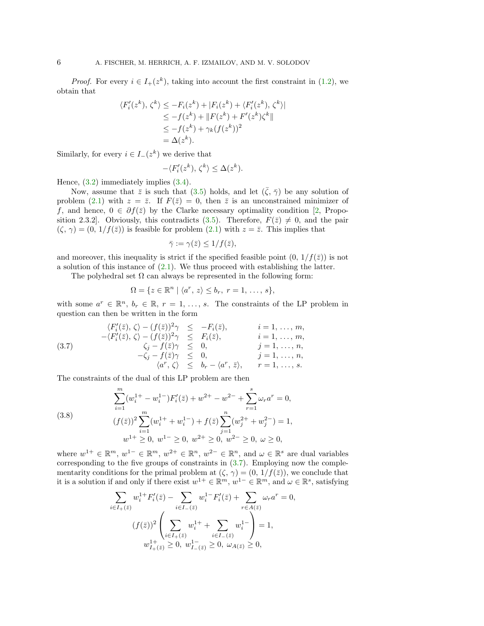*Proof.* For every  $i \in I_+(z^k)$ , taking into account the first constraint in [\(1.2\)](#page-0-1), we obtain that

$$
\langle F'_i(z^k), \zeta^k \rangle \le -F_i(z^k) + |F_i(z^k) + \langle F'_i(z^k), \zeta^k \rangle|
$$
  
\n
$$
\le -f(z^k) + ||F(z^k) + F'(z^k)\zeta^k||
$$
  
\n
$$
\le -f(z^k) + \gamma_k (f(z^k))^2
$$
  
\n
$$
= \Delta(z^k).
$$

Similarly, for every  $i \in I_-(z^k)$  we derive that

$$
-\langle F'_i(z^k), \zeta^k \rangle \le \Delta(z^k).
$$

Hence, [\(3.2\)](#page-3-3) immediately implies [\(3.4\)](#page-4-2).

Now, assume that  $\bar{z}$  is such that [\(3.5\)](#page-4-3) holds, and let  $(\bar{\zeta}, \bar{\gamma})$  be any solution of problem [\(2.1\)](#page-2-1) with  $z = \overline{z}$ . If  $F(\overline{z}) = 0$ , then  $\overline{z}$  is an unconstrained minimizer of f, and hence,  $0 \in \partial f(\bar{z})$  by the Clarke necessary optimality condition [\[2,](#page-20-13) Propo-sition 2.3.2. Obviously, this contradicts [\(3.5\)](#page-4-3). Therefore,  $F(\bar{z}) \neq 0$ , and the pair  $(\zeta, \gamma) = (0, 1/f(\bar{z}))$  is feasible for problem  $(2.1)$  with  $z = \bar{z}$ . This implies that

$$
\bar{\gamma} := \gamma(\bar{z}) \le 1/f(\bar{z}),
$$

and moreover, this inequality is strict if the specified feasible point  $(0, 1/f(\bar{z}))$  is not a solution of this instance of  $(2.1)$ . We thus proceed with establishing the latter.

The polyhedral set  $\Omega$  can always be represented in the following form:

$$
\Omega = \{ z \in \mathbb{R}^n \mid \langle a^r, z \rangle \le b_r, r = 1, \dots, s \},\
$$

with some  $a^r \in \mathbb{R}^n$ ,  $b_r \in \mathbb{R}$ ,  $r = 1, \ldots, s$ . The constraints of the LP problem in question can then be written in the form

<span id="page-5-0"></span>(3.7) 
$$
\langle F'_i(\bar{z}), \zeta \rangle - (f(\bar{z}))^2 \gamma \leq -F_i(\bar{z}), \qquad i = 1, ..., m, \n-\langle F'_i(\bar{z}), \zeta \rangle - (f(\bar{z}))^2 \gamma \leq F_i(\bar{z}), \qquad i = 1, ..., m, \n\zeta_j - f(\bar{z}) \gamma \leq 0, \qquad j = 1, ..., n, \n-\zeta_j - f(\bar{z}) \gamma \leq 0, \qquad j = 1, ..., n, \n\langle a^r, \zeta \rangle \leq b_r - \langle a^r, \bar{z} \rangle, \qquad r = 1, ..., s.
$$

The constraints of the dual of this LP problem are then

(3.8)  

$$
\sum_{i=1}^{m} (w_i^{1+} - w_i^{1-}) F'_i(\bar{z}) + w^{2+} - w^{2-} + \sum_{r=1}^{s} \omega_r a^r = 0,
$$

$$
(f(\bar{z}))^2 \sum_{i=1}^{m} (w_i^{1+} + w_i^{1-}) + f(\bar{z}) \sum_{j=1}^{n} (w_j^{2+} + w_j^{2-}) = 1,
$$

$$
w^{1+} \ge 0, \ w^{1-} \ge 0, \ w^{2+} \ge 0, \ w^{2-} \ge 0, \ \omega \ge 0,
$$

where  $w^{1+} \in \mathbb{R}^m$ ,  $w^{1-} \in \mathbb{R}^m$ ,  $w^{2+} \in \mathbb{R}^n$ ,  $w^{2-} \in \mathbb{R}^n$ , and  $\omega \in \mathbb{R}^s$  are dual variables corresponding to the five groups of constraints in [\(3.7\)](#page-5-0). Employing now the complementarity conditions for the primal problem at  $(\zeta, \gamma) = (0, 1/f(\bar{z}))$ , we conclude that it is a solution if and only if there exist  $w^{1+} \in \mathbb{R}^m$ ,  $w^{1-} \in \mathbb{R}^m$ , and  $\omega \in \mathbb{R}^s$ , satisfying

$$
\sum_{i \in I_{+}(\bar{z})} w_{i}^{1+} F'_{i}(\bar{z}) - \sum_{i \in I_{-}(\bar{z})} w_{i}^{1-} F'_{i}(\bar{z}) + \sum_{r \in A(\bar{z})} \omega_{r} a^{r} = 0,
$$
  

$$
(f(\bar{z}))^{2} \left( \sum_{i \in I_{+}(\bar{z})} w_{i}^{1+} + \sum_{i \in I_{-}(\bar{z})} w_{i}^{1-} \right) = 1,
$$
  

$$
w_{I_{+}(\bar{z})}^{1+} \geq 0, w_{I_{-}(\bar{z})}^{1-} \geq 0, \omega_{A(\bar{z})} \geq 0,
$$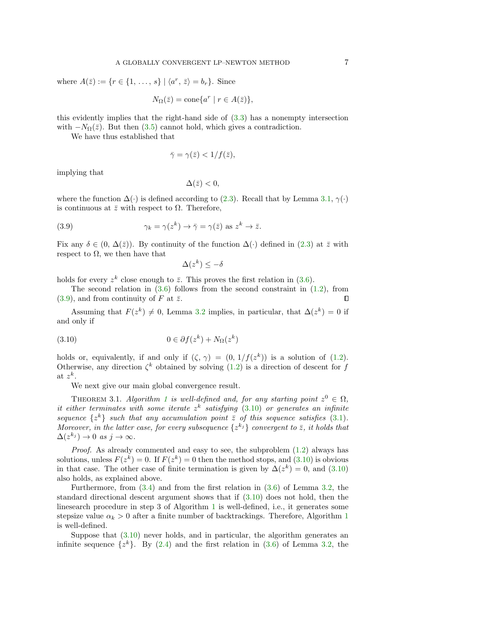where  $A(\overline{z}) := \{r \in \{1, \ldots, s\} \mid \langle a^r, \overline{z} \rangle = b_r \}.$  Since

$$
N_{\Omega}(\bar{z}) = \text{cone}\{a^r \mid r \in A(\bar{z})\},\
$$

this evidently implies that the right-hand side of [\(3.3\)](#page-3-4) has a nonempty intersection with  $-N_{\Omega}(\bar{z})$ . But then [\(3.5\)](#page-4-3) cannot hold, which gives a contradiction.

We have thus established that

$$
\bar{\gamma} = \gamma(\bar{z}) < 1/f(\bar{z}),
$$

implying that

$$
\Delta(\bar{z})<0,
$$

where the function  $\Delta(\cdot)$  is defined according to [\(2.3\)](#page-2-3). Recall that by Lemma [3.1,](#page-4-1)  $\gamma(\cdot)$ is continuous at  $\bar{z}$  with respect to  $\Omega$ . Therefore,

(3.9) 
$$
\gamma_k = \gamma(z^k) \to \bar{\gamma} = \gamma(\bar{z}) \text{ as } z^k \to \bar{z}.
$$

Fix any  $\delta \in (0, \Delta(\bar{z}))$ . By continuity of the function  $\Delta(\cdot)$  defined in [\(2.3\)](#page-2-3) at  $\bar{z}$  with respect to  $\Omega$ , we then have that

<span id="page-6-1"></span><span id="page-6-0"></span>
$$
\Delta(z^k) \le -\delta
$$

holds for every  $z^k$  close enough to  $\bar{z}$ . This proves the first relation in [\(3.6\)](#page-4-4).

The second relation in  $(3.6)$  follows from the second constraint in  $(1.2)$ , from  $(3.9)$ , and from continuity of F at  $\overline{z}$ .

Assuming that  $F(z^k) \neq 0$ , Lemma [3.2](#page-4-5) implies, in particular, that  $\Delta(z^k) = 0$  if and only if

(3.10) 
$$
0 \in \partial f(z^k) + N_{\Omega}(z^k)
$$

holds or, equivalently, if and only if  $(\zeta, \gamma) = (0, 1/f(z^k))$  is a solution of [\(1.2\)](#page-0-1). Otherwise, any direction  $\zeta^k$  obtained by solving [\(1.2\)](#page-0-1) is a direction of descent for f at  $z^k$ .

We next give our main global convergence result.

<span id="page-6-2"></span>THEOREM 3.[1](#page-3-1). Algorithm 1 is well-defined and, for any starting point  $z^0 \in \Omega$ , it either terminates with some iterate  $z^k$  satisfying  $(3.10)$  or generates an infinite sequence  $\{z^k\}$  such that any accumulation point  $\overline{z}$  of this sequence satisfies [\(3.1\)](#page-3-5). Moreover, in the latter case, for every subsequence  $\{z^{k_j}\}\,$  convergent to  $\bar{z}$ , it holds that  $\Delta(z^{k_j}) \to 0 \text{ as } j \to \infty.$ 

*Proof.* As already commented and easy to see, the subproblem  $(1.2)$  always has solutions, unless  $F(z^k) = 0$ . If  $F(z^k) = 0$  then the method stops, and  $(3.10)$  is obvious in that case. The other case of finite termination is given by  $\Delta(z^k) = 0$ , and  $(3.10)$ also holds, as explained above.

Furthermore, from  $(3.4)$  and from the first relation in  $(3.6)$  of Lemma [3.2,](#page-4-5) the standard directional descent argument shows that if [\(3.10\)](#page-6-1) does not hold, then the linesearch procedure in step 3 of Algorithm [1](#page-3-1) is well-defined, i.e., it generates some stepsize value  $\alpha_k > 0$  after a finite number of backtrackings. Therefore, Algorithm [1](#page-3-1) is well-defined.

Suppose that [\(3.10\)](#page-6-1) never holds, and in particular, the algorithm generates an infinite sequence  $\{z^k\}$ . By  $(2.4)$  and the first relation in  $(3.6)$  of Lemma [3.2,](#page-4-5) the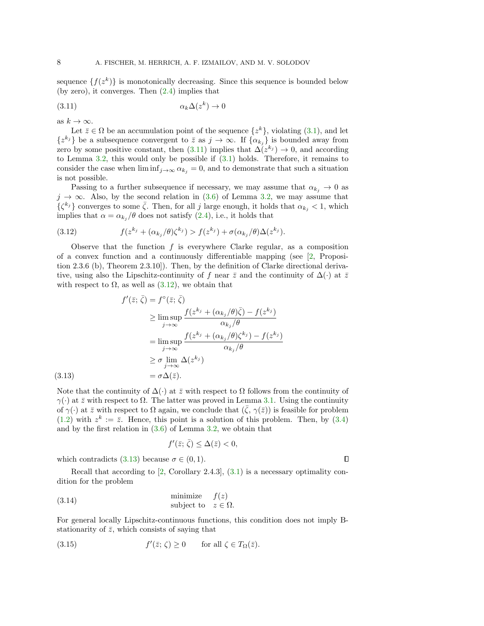sequence  $\{f(z^k)\}\$ is monotonically decreasing. Since this sequence is bounded below (by zero), it converges. Then [\(2.4\)](#page-3-2) implies that

<span id="page-7-0"></span>
$$
(3.11)\qquad \qquad \alpha_k \Delta(z^k) \to 0
$$

as  $k \to \infty$ .

 $(3.13)$ 

Let  $\bar{z} \in \Omega$  be an accumulation point of the sequence  $\{z^k\}$ , violating  $(3.1)$ , and let  $\{z^{k_j}\}\$ be a subsequence convergent to  $\overline{z}$  as  $j \to \infty$ . If  $\{\alpha_{k_j}\}\$ is bounded away from zero by some positive constant, then  $(3.11)$  implies that  $\Delta (z^{k_j}) \to 0$ , and according to Lemma [3.2,](#page-4-5) this would only be possible if [\(3.1\)](#page-3-5) holds. Therefore, it remains to consider the case when  $\liminf_{j\to\infty} \alpha_{k_j} = 0$ , and to demonstrate that such a situation is not possible.

Passing to a further subsequence if necessary, we may assume that  $\alpha_{k_i} \to 0$  as  $j \to \infty$ . Also, by the second relation in [\(3.6\)](#page-4-4) of Lemma [3.2,](#page-4-5) we may assume that  $\{\zeta^{k_j}\}\)$  converges to some  $\bar{\zeta}$ . Then, for all j large enough, it holds that  $\alpha_{k_j} < 1$ , which implies that  $\alpha = \alpha_{k_j}/\theta$  does not satisfy [\(2.4\)](#page-3-2), i.e., it holds that

<span id="page-7-1"></span>(3.12) 
$$
f(z^{k_j}+(\alpha_{k_j}/\theta)\zeta^{k_j})>f(z^{k_j})+\sigma(\alpha_{k_j}/\theta)\Delta(z^{k_j}).
$$

Observe that the function  $f$  is everywhere Clarke regular, as a composition of a convex function and a continuously differentiable mapping (see [\[2,](#page-20-13) Proposition 2.3.6 (b), Theorem 2.3.10]). Then, by the definition of Clarke directional derivative, using also the Lipschitz-continuity of f near  $\bar{z}$  and the continuity of  $\Delta(\cdot)$  at  $\bar{z}$ with respect to  $\Omega$ , as well as  $(3.12)$ , we obtain that

<span id="page-7-2"></span>
$$
f'(\bar{z}; \bar{\zeta}) = f^{\circ}(\bar{z}; \bar{\zeta})
$$
  
\n
$$
\geq \limsup_{j \to \infty} \frac{f(z^{k_j} + (\alpha_{k_j}/\theta)\bar{\zeta}) - f(z^{k_j})}{\alpha_{k_j}/\theta}
$$
  
\n
$$
= \limsup_{j \to \infty} \frac{f(z^{k_j} + (\alpha_{k_j}/\theta)\zeta^{k_j}) - f(z^{k_j})}{\alpha_{k_j}/\theta}
$$
  
\n
$$
\geq \sigma \lim_{j \to \infty} \Delta(z^{k_j})
$$
  
\n
$$
= \sigma \Delta(\bar{z}).
$$

Note that the continuity of  $\Delta(\cdot)$  at  $\overline{z}$  with respect to  $\Omega$  follows from the continuity of  $\gamma(\cdot)$  at  $\bar{z}$  with respect to  $\Omega$ . The latter was proved in Lemma [3.1.](#page-4-1) Using the continuity of  $\gamma(\cdot)$  at  $\bar{z}$  with respect to  $\Omega$  again, we conclude that  $(\bar{\zeta}, \gamma(\bar{z}))$  is feasible for problem  $(1.2)$  with  $z^k := \overline{z}$ . Hence, this point is a solution of this problem. Then, by  $(3.4)$ and by the first relation in [\(3.6\)](#page-4-4) of Lemma [3.2,](#page-4-5) we obtain that

<span id="page-7-4"></span>
$$
f'(\bar{z}; \bar{\zeta}) \le \Delta(\bar{z}) < 0,
$$

 $\Box$ 

which contradicts [\(3.13\)](#page-7-2) because  $\sigma \in (0,1)$ .

Recall that according to  $[2,$  Corollary 2.4.3,  $(3.1)$  is a necessary optimality condition for the problem

(3.14) 
$$
\begin{array}{ll}\text{minimize} & f(z) \\ \text{subject to} & z \in \Omega. \end{array}
$$

For general locally Lipschitz-continuous functions, this condition does not imply Bstationarity of  $\bar{z}$ , which consists of saying that

<span id="page-7-3"></span>(3.15) 
$$
f'(\bar{z}; \zeta) \ge 0 \quad \text{for all } \zeta \in T_{\Omega}(\bar{z}).
$$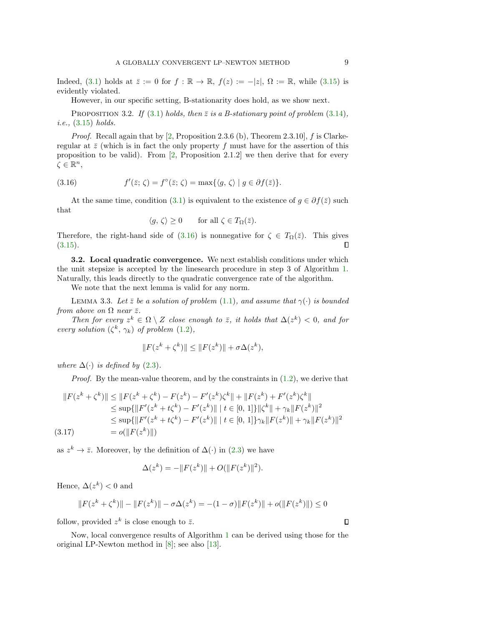Indeed, [\(3.1\)](#page-3-5) holds at  $\overline{z} := 0$  for  $f : \mathbb{R} \to \mathbb{R}$ ,  $f(z) := -|z|$ ,  $\Omega := \mathbb{R}$ , while [\(3.15\)](#page-7-3) is evidently violated.

However, in our specific setting, B-stationarity does hold, as we show next.

PROPOSITION 3.2. If [\(3.1\)](#page-3-5) holds, then  $\overline{z}$  is a B-stationary point of problem [\(3.14\)](#page-7-4), i.e., [\(3.15\)](#page-7-3) holds.

*Proof.* Recall again that by  $[2,$  Proposition 2.3.6 (b), Theorem 2.3.10, f is Clarkeregular at  $\bar{z}$  (which is in fact the only property f must have for the assertion of this proposition to be valid). From  $[2,$  Proposition 2.1.2 we then derive that for every  $\zeta \in \mathbb{R}^n$ ,

(3.16) 
$$
f'(\bar{z}; \zeta) = f^{\circ}(\bar{z}; \zeta) = \max\{\langle g, \zeta \rangle \mid g \in \partial f(\bar{z})\}.
$$

At the same time, condition [\(3.1\)](#page-3-5) is equivalent to the existence of  $g \in \partial f(\bar{z})$  such that

<span id="page-8-1"></span>
$$
\langle g, \zeta \rangle \ge 0 \quad \text{for all } \zeta \in T_{\Omega}(\bar{z}).
$$

Therefore, the right-hand side of  $(3.16)$  is nonnegative for  $\zeta \in T_{\Omega}(\bar{z})$ . This gives  $(3.15).$  $(3.15).$ Л

<span id="page-8-0"></span>3.2. Local quadratic convergence. We next establish conditions under which the unit stepsize is accepted by the linesearch procedure in step 3 of Algorithm [1.](#page-3-1) Naturally, this leads directly to the quadratic convergence rate of the algorithm.

We note that the next lemma is valid for any norm.

<span id="page-8-2"></span>LEMMA 3.3. Let  $\bar{z}$  be a solution of problem [\(1.1\)](#page-0-0), and assume that  $\gamma(\cdot)$  is bounded from above on  $\Omega$  near  $\bar{z}$ .

Then for every  $z^k \in \Omega \setminus Z$  close enough to  $\overline{z}$ , it holds that  $\Delta(z^k) < 0$ , and for every solution  $(\zeta^k, \gamma_k)$  of problem  $(1.2)$ ,

$$
||F(z^k + \zeta^k)|| \le ||F(z^k)|| + \sigma \Delta(z^k),
$$

where  $\Delta(\cdot)$  is defined by [\(2.3\)](#page-2-3).

*Proof.* By the mean-value theorem, and by the constraints in  $(1.2)$ , we derive that

$$
||F(z^{k} + \zeta^{k})|| \le ||F(z^{k} + \zeta^{k}) - F(z^{k}) - F'(z^{k})\zeta^{k}|| + ||F(z^{k}) + F'(z^{k})\zeta^{k}||
$$
  
\n
$$
\le \sup\{||F'(z^{k} + t\zeta^{k}) - F'(z^{k})|| \mid t \in [0, 1]\} ||\zeta^{k}|| + \gamma_{k} ||F(z^{k})||^{2}
$$
  
\n
$$
\le \sup\{||F'(z^{k} + t\zeta^{k}) - F'(z^{k})|| \mid t \in [0, 1]\}\gamma_{k} ||F(z^{k})|| + \gamma_{k} ||F(z^{k})||^{2}
$$
  
\n(3.17)

as  $z^k \to \overline{z}$ . Moreover, by the definition of  $\Delta(\cdot)$  in [\(2.3\)](#page-2-3) we have

$$
\Delta(z^k) = -\|F(z^k)\| + O(\|F(z^k)\|^2).
$$

Hence,  $\Delta(z^k) < 0$  and

$$
||F(z^k + \zeta^k)|| - ||F(z^k)|| - \sigma \Delta(z^k) = -(1 - \sigma)||F(z^k)|| + o(||F(z^k)||) \le 0
$$

follow, provided  $z^k$  is close enough to  $\bar{z}$ .

<span id="page-8-3"></span>Now, local convergence results of Algorithm [1](#page-3-1) can be derived using those for the original LP-Newton method in [\[8\]](#page-20-2); see also [\[13\]](#page-20-3).

 $\Box$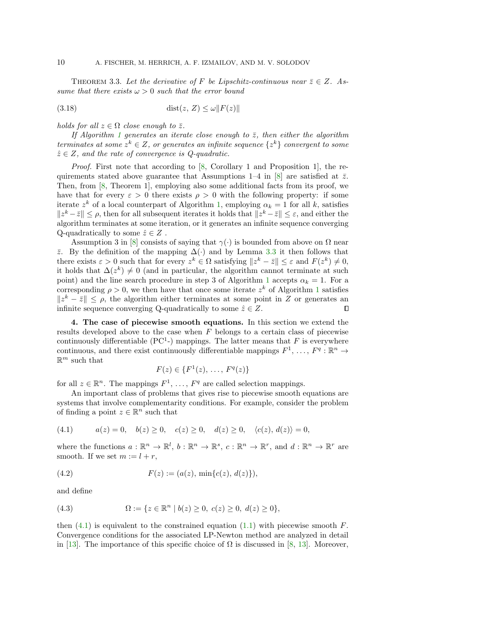THEOREM 3.3. Let the derivative of F be Lipschitz-continuous near  $\overline{z} \in Z$ . Assume that there exists  $\omega > 0$  such that the error bound

$$
(3.18)\qquad \qquad \text{dist}(z, Z) \le \omega \|F(z)\|
$$

holds for all  $z \in \Omega$  close enough to  $\overline{z}$ .

If Algorithm [1](#page-3-1) generates an iterate close enough to  $\bar{z}$ , then either the algorithm terminates at some  $z^k \in Z$ , or generates an infinite sequence  $\{z^k\}$  convergent to some  $\hat{z} \in Z$ , and the rate of convergence is Q-quadratic.

Proof. First note that according to [\[8,](#page-20-2) Corollary 1 and Proposition 1], the re-quirements stated above guarantee that Assumptions 1–4 in [\[8\]](#page-20-2) are satisfied at  $\bar{z}$ . Then, from [\[8,](#page-20-2) Theorem 1], employing also some additional facts from its proof, we have that for every  $\varepsilon > 0$  there exists  $\rho > 0$  with the following property: if some iterate  $z^k$  of a local counterpart of Algorithm [1,](#page-3-1) employing  $\alpha_k = 1$  for all k, satisfies  $||z^k - \bar{z}|| \leq \rho$ , then for all subsequent iterates it holds that  $||z^k - \bar{z}|| \leq \varepsilon$ , and either the algorithm terminates at some iteration, or it generates an infinite sequence converging Q-quadratically to some  $\hat{z} \in Z$ .

Assumption 3 in [\[8\]](#page-20-2) consists of saying that  $\gamma(\cdot)$  is bounded from above on  $\Omega$  near  $\overline{z}$ . By the definition of the mapping  $\Delta(\cdot)$  and by Lemma [3.3](#page-8-2) it then follows that there exists  $\varepsilon > 0$  such that for every  $z^k \in \Omega$  satisfying  $||z^k - \bar{z}|| \leq \varepsilon$  and  $F(z^k) \neq 0$ , it holds that  $\Delta(z^k) \neq 0$  (and in particular, the algorithm cannot terminate at such point) and the line search procedure in step 3 of Algorithm [1](#page-3-1) accepts  $\alpha_k = 1$ . For a corresponding  $\rho > 0$ , we then have that once some iterate  $z^k$  of Algorithm [1](#page-3-1) satisfies  $||z^k - \bar{z}|| \leq \rho$ , the algorithm either terminates at some point in Z or generates an infinite sequence converging Q-quadratically to some  $\hat{z} \in Z$ .  $\Box$ 

<span id="page-9-0"></span>4. The case of piecewise smooth equations. In this section we extend the results developed above to the case when  $F$  belongs to a certain class of piecewise continuously differentiable ( $PC<sup>1</sup>$ -) mappings. The latter means that F is everywhere continuous, and there exist continuously differentiable mappings  $F^1, \ldots, F^q : \mathbb{R}^n \to$  $\mathbb{R}^m$  such that

$$
F(z) \in \{F^1(z), \ldots, F^q(z)\}
$$

for all  $z \in \mathbb{R}^n$ . The mappings  $F^1, \ldots, F^q$  are called selection mappings.

An important class of problems that gives rise to piecewise smooth equations are systems that involve complementarity conditions. For example, consider the problem of finding a point  $z \in \mathbb{R}^n$  such that

<span id="page-9-1"></span>
$$
(4.1) \t a(z) = 0, \t b(z) \ge 0, \t c(z) \ge 0, \t d(z) \ge 0, \t \langle c(z), d(z) \rangle = 0,
$$

where the functions  $a: \mathbb{R}^n \to \mathbb{R}^l$ ,  $b: \mathbb{R}^n \to \mathbb{R}^s$ ,  $c: \mathbb{R}^n \to \mathbb{R}^r$ , and  $d: \mathbb{R}^n \to \mathbb{R}^r$  are smooth. If we set  $m := l + r$ ,

<span id="page-9-2"></span>(4.2) 
$$
F(z) := (a(z), \min\{c(z), d(z)\}),
$$

and define

<span id="page-9-3"></span>(4.3) 
$$
\Omega := \{ z \in \mathbb{R}^n \mid b(z) \ge 0, \ c(z) \ge 0, \ d(z) \ge 0 \},
$$

then  $(4.1)$  is equivalent to the constrained equation  $(1.1)$  with piecewise smooth F. Convergence conditions for the associated LP-Newton method are analyzed in detail in [\[13\]](#page-20-3). The importance of this specific choice of  $\Omega$  is discussed in [\[8,](#page-20-2) [13\]](#page-20-3). Moreover,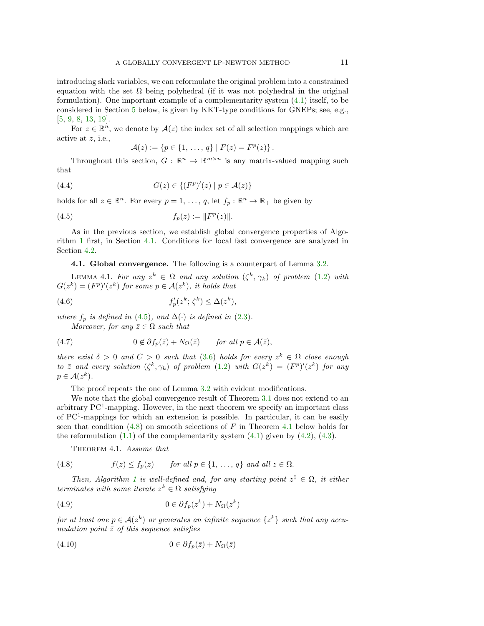introducing slack variables, we can reformulate the original problem into a constrained equation with the set  $\Omega$  being polyhedral (if it was not polyhedral in the original formulation). One important example of a complementarity system [\(4.1\)](#page-9-1) itself, to be considered in Section [5](#page-12-0) below, is given by KKT-type conditions for GNEPs; see, e.g., [\[5,](#page-20-9) [9,](#page-20-15) [8,](#page-20-2) [13,](#page-20-3) [19\]](#page-20-16).

For  $z \in \mathbb{R}^n$ , we denote by  $\mathcal{A}(z)$  the index set of all selection mappings which are active at z, i.e.,

<span id="page-10-6"></span><span id="page-10-1"></span>
$$
\mathcal{A}(z) := \{p \in \{1, \ldots, q\} \mid F(z) = F^p(z)\}.
$$

Throughout this section,  $G: \mathbb{R}^n \to \mathbb{R}^{m \times n}$  is any matrix-valued mapping such that

$$
(4.4) \tG(z) \in \{(F^p)'(z) \mid p \in \mathcal{A}(z)\}\
$$

holds for all  $z \in \mathbb{R}^n$ . For every  $p = 1, \ldots, q$ , let  $f_p : \mathbb{R}^n \to \mathbb{R}_+$  be given by

(4.5) 
$$
f_p(z) := ||F^p(z)||.
$$

As in the previous section, we establish global convergence properties of Algorithm [1](#page-3-1) first, in Section [4.1.](#page-10-0) Conditions for local fast convergence are analyzed in Section [4.2.](#page-11-0)

<span id="page-10-0"></span>4.1. Global convergence. The following is a counterpart of Lemma [3.2.](#page-4-5)

<span id="page-10-4"></span>LEMMA 4.1. For any  $z^k \in \Omega$  and any solution  $(\zeta^k, \gamma_k)$  of problem  $(1.2)$  with  $G(z^k) = (F^p)'(z^k)$  for some  $p \in \mathcal{A}(z^k)$ , it holds that

(4.6) 
$$
f_p'(z^k; \zeta^k) \leq \Delta(z^k),
$$

where  $f_p$  is defined in [\(4.5\)](#page-10-1), and  $\Delta(\cdot)$  is defined in [\(2.3\)](#page-2-3). Moreover, for any  $\bar{z} \in \Omega$  such that

(4.7) 
$$
0 \notin \partial f_p(\bar{z}) + N_{\Omega}(\bar{z}) \quad \text{for all } p \in \mathcal{A}(\bar{z}),
$$

there exist  $\delta > 0$  and  $C > 0$  such that [\(3.6\)](#page-4-4) holds for every  $z^k \in \Omega$  close enough to  $\overline{z}$  and every solution  $(\zeta^k, \gamma_k)$  of problem  $(1.2)$  with  $G(z^k) = (F^p)'(z^k)$  for any  $p \in \mathcal{A}(z^k)$ .

The proof repeats the one of Lemma [3.2](#page-4-5) with evident modifications.

We note that the global convergence result of Theorem [3.1](#page-6-2) does not extend to an arbitrary  $PC<sup>1</sup>$ -mapping. However, in the next theorem we specify an important class of PC<sup>1</sup> -mappings for which an extension is possible. In particular, it can be easily seen that condition  $(4.8)$  on smooth selections of F in Theorem [4.1](#page-10-3) below holds for the reformulation  $(1.1)$  of the complementarity system  $(4.1)$  given by  $(4.2)$ ,  $(4.3)$ .

<span id="page-10-5"></span><span id="page-10-3"></span><span id="page-10-2"></span>THEOREM 4.1. Assume that

(4.8) 
$$
f(z) \le f_p(z) \quad \text{for all } p \in \{1, ..., q\} \text{ and all } z \in \Omega.
$$

Then, Algorithm [1](#page-3-1) is well-defined and, for any starting point  $z^0 \in \Omega$ , it either terminates with some iterate  $z^k \in \Omega$  satisfying

(4.9) 
$$
0 \in \partial f_p(z^k) + N_{\Omega}(z^k)
$$

for at least one  $p \in \mathcal{A}(z^k)$  or generates an infinite sequence  $\{z^k\}$  such that any accumulation point  $\bar{z}$  of this sequence satisfies

<span id="page-10-7"></span>
$$
(4.10) \t\t 0 \in \partial f_p(\bar{z}) + N_{\Omega}(\bar{z})
$$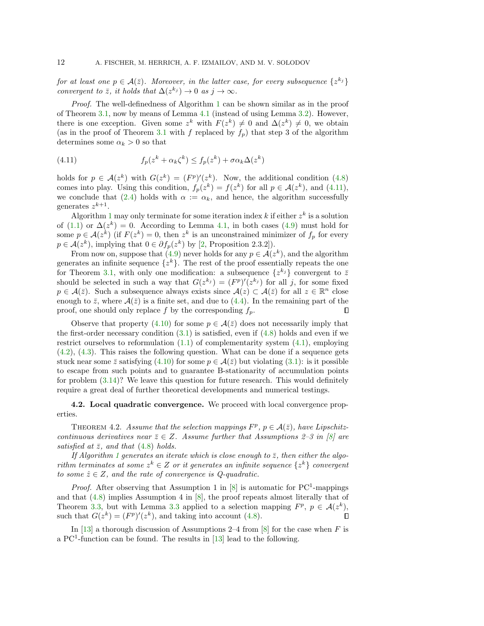for at least one  $p \in \mathcal{A}(\bar{z})$ . Moreover, in the latter case, for every subsequence  $\{z^{k_j}\}$ convergent to  $\bar{z}$ , it holds that  $\Delta(z^{k_j}) \to 0$  as  $j \to \infty$ .

Proof. The well-definedness of Algorithm [1](#page-3-1) can be shown similar as in the proof of Theorem [3.1,](#page-6-2) now by means of Lemma [4.1](#page-10-4) (instead of using Lemma [3.2\)](#page-4-5). However, there is one exception. Given some  $z^k$  with  $F(z^k) \neq 0$  and  $\Delta(z^k) \neq 0$ , we obtain (as in the proof of Theorem [3.1](#page-6-2) with f replaced by  $f_p$ ) that step 3 of the algorithm determines some  $\alpha_k > 0$  so that

<span id="page-11-1"></span>(4.11) 
$$
f_p(z^k + \alpha_k \zeta^k) \le f_p(z^k) + \sigma \alpha_k \Delta(z^k)
$$

holds for  $p \in \mathcal{A}(z^k)$  with  $G(z^k) = (F^p)'(z^k)$ . Now, the additional condition [\(4.8\)](#page-10-2) comes into play. Using this condition,  $f_p(z^k) = f(z^k)$  for all  $p \in \mathcal{A}(z^k)$ , and [\(4.11\)](#page-11-1), we conclude that [\(2.4\)](#page-3-2) holds with  $\alpha := \alpha_k$ , and hence, the algorithm successfully generates  $z^{k+1}$ .

Algorithm [1](#page-3-1) may only terminate for some iteration index  $k$  if either  $z^k$  is a solution of [\(1.1\)](#page-0-0) or  $\Delta(z^k) = 0$ . According to Lemma [4.1,](#page-10-4) in both cases [\(4.9\)](#page-10-5) must hold for some  $p \in \mathcal{A}(z^k)$  (if  $F(z^k) = 0$ , then  $z^k$  is an unconstrained minimizer of  $f_p$  for every  $p \in \mathcal{A}(z^k)$ , implying that  $0 \in \partial f_p(z^k)$  by [\[2,](#page-20-13) Proposition 2.3.2]).

From now on, suppose that  $(4.9)$  never holds for any  $p \in \mathcal{A}(z^k)$ , and the algorithm generates an infinite sequence  $\{z^k\}$ . The rest of the proof essentially repeats the one for Theorem [3.1,](#page-6-2) with only one modification: a subsequence  $\{z^{k_j}\}\$ convergent to  $\bar{z}$ should be selected in such a way that  $G(z^{k_j}) = (F^p)'(z^{k_j})$  for all j, for some fixed  $p \in \mathcal{A}(\bar{z})$ . Such a subsequence always exists since  $\mathcal{A}(z) \subset \mathcal{A}(\bar{z})$  for all  $z \in \mathbb{R}^n$  close enough to  $\bar{z}$ , where  $\mathcal{A}(\bar{z})$  is a finite set, and due to [\(4.4\)](#page-10-6). In the remaining part of the proof, one should only replace f by the corresponding  $f_p$ . П

Observe that property [\(4.10\)](#page-10-7) for some  $p \in \mathcal{A}(\bar{z})$  does not necessarily imply that the first-order necessary condition  $(3.1)$  is satisfied, even if  $(4.8)$  holds and even if we restrict ourselves to reformulation [\(1.1\)](#page-0-0) of complementarity system [\(4.1\)](#page-9-1), employing [\(4.2\)](#page-9-2), [\(4.3\)](#page-9-3). This raises the following question. What can be done if a sequence gets stuck near some  $\bar{z}$  satisfying [\(4.10\)](#page-10-7) for some  $p \in \mathcal{A}(\bar{z})$  but violating [\(3.1\)](#page-3-5): is it possible to escape from such points and to guarantee B-stationarity of accumulation points for problem [\(3.14\)](#page-7-4)? We leave this question for future research. This would definitely require a great deal of further theoretical developments and numerical testings.

# <span id="page-11-0"></span>4.2. Local quadratic convergence. We proceed with local convergence properties.

<span id="page-11-2"></span>THEOREM 4.2. Assume that the selection mappings  $F^p$ ,  $p \in \mathcal{A}(\bar{z})$ , have Lipschitzcontinuous derivatives near  $\bar{z} \in Z$ . Assume further that Assumptions 2–3 in [\[8\]](#page-20-2) are satisfied at  $\bar{z}$ , and that [\(4.8\)](#page-10-2) holds.

If Algorithm [1](#page-3-1) generates an iterate which is close enough to  $\bar{z}$ , then either the algorithm terminates at some  $z^k \in Z$  or it generates an infinite sequence  $\{z^k\}$  convergent to some  $\hat{z} \in Z$ , and the rate of convergence is Q-quadratic.

*Proof.* After observing that Assumption 1 in  $[8]$  is automatic for PC<sup>1</sup>-mappings and that [\(4.8\)](#page-10-2) implies Assumption 4 in [\[8\]](#page-20-2), the proof repeats almost literally that of Theorem [3.3,](#page-8-3) but with Lemma [3.3](#page-8-2) applied to a selection mapping  $F^p$ ,  $p \in \mathcal{A}(z^k)$ , such that  $G(z^k) = (F^p)'(z^k)$ , and taking into account [\(4.8\)](#page-10-2).  $\Box$ 

<span id="page-11-3"></span>In [\[13\]](#page-20-3) a thorough discussion of Assumptions 2–4 from [\[8\]](#page-20-2) for the case when  $F$  is a PC<sup>1</sup>-function can be found. The results in  $[13]$  lead to the following.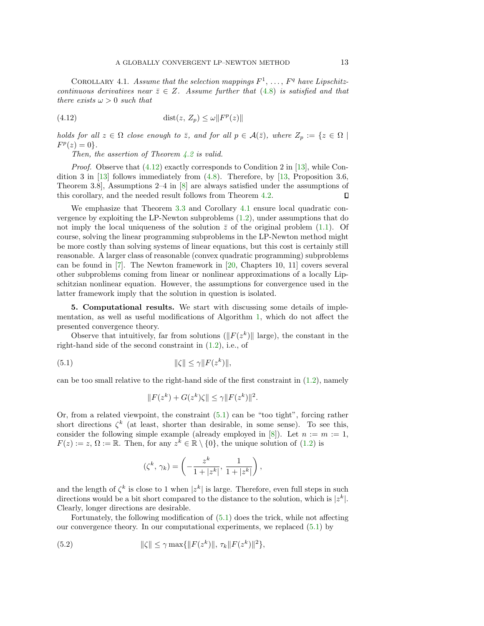COROLLARY 4.1. Assume that the selection mappings  $F^1, \ldots, F^q$  have Lipschitzcontinuous derivatives near  $\overline{z} \in Z$ . Assume further that [\(4.8\)](#page-10-2) is satisfied and that there exists  $\omega > 0$  such that

(4.12) 
$$
\text{dist}(z, Z_p) \le \omega \| F^p(z) \|
$$

holds for all  $z \in \Omega$  close enough to  $\overline{z}$ , and for all  $p \in \mathcal{A}(\overline{z})$ , where  $Z_p := \{z \in \Omega \mid$  $F^p(z) = 0$ .

<span id="page-12-1"></span>Then, the assertion of Theorem [4.2](#page-11-2) is valid.

*Proof.* Observe that  $(4.12)$  exactly corresponds to Condition 2 in [\[13\]](#page-20-3), while Condition 3 in  $\left[13\right]$  follows immediately from  $(4.8)$ . Therefore, by  $\left[13\right]$ , Proposition 3.6, Theorem 3.8], Assumptions 2–4 in [\[8\]](#page-20-2) are always satisfied under the assumptions of this corollary, and the needed result follows from Theorem [4.2.](#page-11-2) П

We emphasize that Theorem [3.3](#page-8-3) and Corollary [4.1](#page-11-3) ensure local quadratic convergence by exploiting the LP-Newton subproblems [\(1.2\)](#page-0-1), under assumptions that do not imply the local uniqueness of the solution  $\bar{z}$  of the original problem [\(1.1\)](#page-0-0). Of course, solving the linear programming subproblems in the LP-Newton method might be more costly than solving systems of linear equations, but this cost is certainly still reasonable. A larger class of reasonable (convex quadratic programming) subproblems can be found in [\[7\]](#page-20-17). The Newton framework in [\[20,](#page-20-18) Chapters 10, 11] covers several other subproblems coming from linear or nonlinear approximations of a locally Lipschitzian nonlinear equation. However, the assumptions for convergence used in the latter framework imply that the solution in question is isolated.

<span id="page-12-0"></span>5. Computational results. We start with discussing some details of implementation, as well as useful modifications of Algorithm [1,](#page-3-1) which do not affect the presented convergence theory.

Observe that intuitively, far from solutions ( $||F(z^k)||$  large), the constant in the right-hand side of the second constraint in [\(1.2\)](#page-0-1), i.e., of

$$
||\zeta|| \le \gamma ||F(z^k)||,
$$

can be too small relative to the right-hand side of the first constraint in  $(1.2)$ , namely

<span id="page-12-2"></span>
$$
||F(z^k) + G(z^k)\zeta|| \le \gamma ||F(z^k)||^2.
$$

Or, from a related viewpoint, the constraint [\(5.1\)](#page-12-2) can be "too tight", forcing rather short directions  $\zeta^k$  (at least, shorter than desirable, in some sense). To see this, consider the following simple example (already employed in [\[8\]](#page-20-2)). Let  $n := m := 1$ ,  $F(z) := z, \Omega := \mathbb{R}$ . Then, for any  $z^{\overline{k}} \in \mathbb{R} \setminus \{0\}$ , the unique solution of [\(1.2\)](#page-0-1) is

<span id="page-12-3"></span>
$$
(\zeta^k,\,\gamma_k)=\left(-\frac{z^k}{1+|z^k|},\,\frac{1}{1+|z^k|}\right),
$$

and the length of  $\zeta^k$  is close to 1 when  $|z^k|$  is large. Therefore, even full steps in such directions would be a bit short compared to the distance to the solution, which is  $|z^k|$ . Clearly, longer directions are desirable.

Fortunately, the following modification of [\(5.1\)](#page-12-2) does the trick, while not affecting our convergence theory. In our computational experiments, we replaced [\(5.1\)](#page-12-2) by

(5.2) 
$$
\|\zeta\| \leq \gamma \max\{\|F(z^k)\|, \tau_k \|F(z^k)\|^2\},\
$$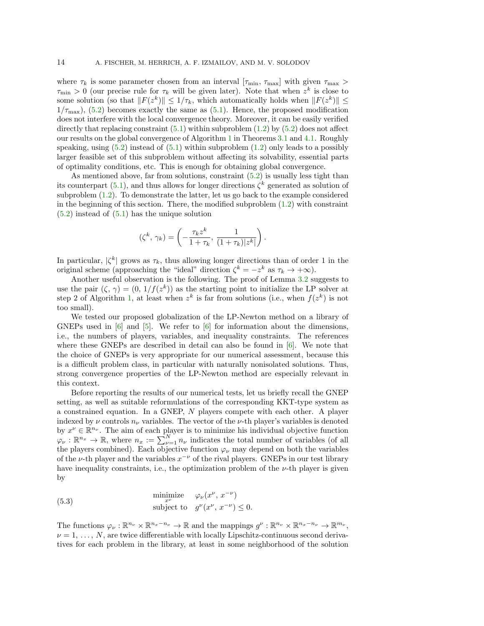where  $\tau_k$  is some parameter chosen from an interval  $[\tau_{\min}, \tau_{\max}]$  with given  $\tau_{\max}$  $\tau_{\min} > 0$  (our precise rule for  $\tau_k$  will be given later). Note that when  $z^k$  is close to some solution (so that  $||F(z^k)|| \leq 1/\tau_k$ , which automatically holds when  $||F(z^k)|| \leq$  $1/\tau_{\text{max}}$ , [\(5.2\)](#page-12-3) becomes exactly the same as [\(5.1\)](#page-12-2). Hence, the proposed modification does not interfere with the local convergence theory. Moreover, it can be easily verified directly that replacing constraint  $(5.1)$  within subproblem  $(1.2)$  by  $(5.2)$  does not affect our results on the global convergence of Algorithm [1](#page-3-1) in Theorems [3.1](#page-6-2) and [4.1.](#page-10-3) Roughly speaking, using  $(5.2)$  instead of  $(5.1)$  within subproblem  $(1.2)$  only leads to a possibly larger feasible set of this subproblem without affecting its solvability, essential parts of optimality conditions, etc. This is enough for obtaining global convergence.

As mentioned above, far from solutions, constraint [\(5.2\)](#page-12-3) is usually less tight than its counterpart [\(5.1\)](#page-12-2), and thus allows for longer directions  $\zeta^k$  generated as solution of subproblem [\(1.2\)](#page-0-1). To demonstrate the latter, let us go back to the example considered in the beginning of this section. There, the modified subproblem  $(1.2)$  with constraint [\(5.2\)](#page-12-3) instead of [\(5.1\)](#page-12-2) has the unique solution

$$
(\zeta^k,\,\gamma_k)=\left(-\frac{\tau_kz^k}{1+\tau_k},\,\frac{1}{(1+\tau_k)|z^k|}\right).
$$

In particular,  $|\zeta^k|$  grows as  $\tau_k$ , thus allowing longer directions than of order 1 in the original scheme (approaching the "ideal" direction  $\zeta^k = -z^k$  as  $\tau_k \to +\infty$ ).

Another useful observation is the following. The proof of Lemma [3.2](#page-4-5) suggests to use the pair  $(\zeta, \gamma) = (0, 1/f(z^k))$  as the starting point to initialize the LP solver at step 2 of Algorithm [1,](#page-3-1) at least when  $z^k$  is far from solutions (i.e., when  $f(z^k)$  is not too small).

We tested our proposed globalization of the LP-Newton method on a library of GNEPs used in  $[6]$  and  $[5]$ . We refer to  $[6]$  for information about the dimensions, i.e., the numbers of players, variables, and inequality constraints. The references where these GNEPs are described in detail can also be found in  $[6]$ . We note that the choice of GNEPs is very appropriate for our numerical assessment, because this is a difficult problem class, in particular with naturally nonisolated solutions. Thus, strong convergence properties of the LP-Newton method are especially relevant in this context.

Before reporting the results of our numerical tests, let us briefly recall the GNEP setting, as well as suitable reformulations of the corresponding KKT-type system as a constrained equation. In a GNEP, N players compete with each other. A player indexed by  $\nu$  controls  $n_{\nu}$  variables. The vector of the  $\nu$ -th player's variables is denoted by  $x^{\nu} \in \mathbb{R}^{n_{\nu}}$ . The aim of each player is to minimize his individual objective function  $\varphi_{\nu}: \mathbb{R}^{n_x} \to \mathbb{R}$ , where  $n_x := \sum_{\nu=1}^{N} n_{\nu}$  indicates the total number of variables (of all the players combined). Each objective function  $\varphi_{\nu}$  may depend on both the variables of the v-th player and the variables  $x^{-\nu}$  of the rival players. GNEPs in our test library have inequality constraints, i.e., the optimization problem of the  $\nu$ -th player is given by

<span id="page-13-0"></span>(5.3) 
$$
\begin{array}{ll}\text{minimize} & \varphi_{\nu}(x^{\nu}, x^{-\nu})\\ \text{subject to} & g^{\nu}(x^{\nu}, x^{-\nu}) \leq 0. \end{array}
$$

The functions  $\varphi_{\nu}: \mathbb{R}^{n_{\nu}} \times \mathbb{R}^{n_x-n_{\nu}} \to \mathbb{R}$  and the mappings  $g^{\nu}: \mathbb{R}^{n_{\nu}} \times \mathbb{R}^{n_x-n_{\nu}} \to \mathbb{R}^{m_{\nu}}$ ,  $\nu = 1, \ldots, N$ , are twice differentiable with locally Lipschitz-continuous second derivatives for each problem in the library, at least in some neighborhood of the solution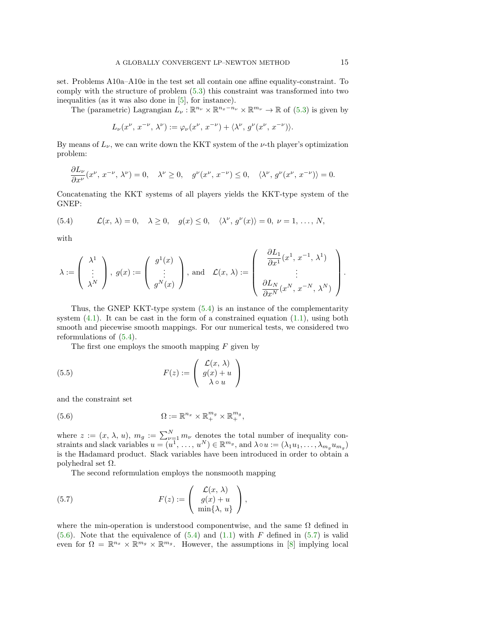set. Problems A10a–A10e in the test set all contain one affine equality-constraint. To comply with the structure of problem [\(5.3\)](#page-13-0) this constraint was transformed into two inequalities (as it was also done in [\[5\]](#page-20-9), for instance).

The (parametric) Lagrangian  $L_{\nu} : \mathbb{R}^{n_{\nu}} \times \mathbb{R}^{n_x-n_{\nu}} \times \mathbb{R}^{m_{\nu}} \to \mathbb{R}$  of [\(5.3\)](#page-13-0) is given by

$$
L_{\nu}(x^{\nu}, x^{-\nu}, \lambda^{\nu}) := \varphi_{\nu}(x^{\nu}, x^{-\nu}) + \langle \lambda^{\nu}, g^{\nu}(x^{\nu}, x^{-\nu}) \rangle.
$$

By means of  $L_{\nu}$ , we can write down the KKT system of the  $\nu$ -th player's optimization problem:

$$
\frac{\partial L_{\nu}}{\partial x^{\nu}}(x^{\nu}, x^{-\nu}, \lambda^{\nu}) = 0, \quad \lambda^{\nu} \ge 0, \quad g^{\nu}(x^{\nu}, x^{-\nu}) \le 0, \quad \langle \lambda^{\nu}, g^{\nu}(x^{\nu}, x^{-\nu}) \rangle = 0.
$$

Concatenating the KKT systems of all players yields the KKT-type system of the GNEP:

<span id="page-14-0"></span>(5.4) 
$$
\mathcal{L}(x,\lambda) = 0, \quad \lambda \ge 0, \quad g(x) \le 0, \quad \langle \lambda^{\nu}, g^{\nu}(x) \rangle = 0, \quad \nu = 1, \ldots, N,
$$

with

$$
\lambda := \left(\begin{array}{c} \lambda^1 \\ \vdots \\ \lambda^N \end{array}\right),\ g(x) := \left(\begin{array}{c} g^1(x) \\ \vdots \\ g^N(x) \end{array}\right),\ \text{and}\quad \mathcal{L}(x,\,\lambda) := \left(\begin{array}{c} \frac{\partial L_1}{\partial x^1}(x^1,\,x^{-1},\,\lambda^1) \\ \vdots \\ \frac{\partial L_N}{\partial x^N}(x^N,\,x^{-N},\,\lambda^N) \end{array}\right).
$$

Thus, the GNEP KKT-type system [\(5.4\)](#page-14-0) is an instance of the complementarity system  $(4.1)$ . It can be cast in the form of a constrained equation  $(1.1)$ , using both smooth and piecewise smooth mappings. For our numerical tests, we considered two reformulations of [\(5.4\)](#page-14-0).

<span id="page-14-3"></span>The first one employs the smooth mapping  $F$  given by

(5.5) 
$$
F(z) := \begin{pmatrix} \mathcal{L}(x, \lambda) \\ g(x) + u \\ \lambda \circ u \end{pmatrix}
$$

and the constraint set

<span id="page-14-1"></span>(5.6) 
$$
\Omega := \mathbb{R}^{n_x} \times \mathbb{R}^{m_g} \times \mathbb{R}^{m_g},
$$

where  $z := (x, \lambda, u), m_g := \sum_{\nu=1}^N m_{\nu}$  denotes the total number of inequality constraints and slack variables  $u = (u^1, \ldots, u^N) \in \mathbb{R}^{m_g}$ , and  $\lambda \circ u := (\lambda_1 u_1, \ldots, \lambda_{m_g} u_{m_g})$ is the Hadamard product. Slack variables have been introduced in order to obtain a polyhedral set  $Ω$ .

<span id="page-14-2"></span>The second reformulation employs the nonsmooth mapping

(5.7) 
$$
F(z) := \begin{pmatrix} \mathcal{L}(x, \lambda) \\ g(x) + u \\ \min\{\lambda, u\} \end{pmatrix},
$$

where the min-operation is understood componentwise, and the same  $\Omega$  defined in  $(5.6)$ . Note that the equivalence of  $(5.4)$  and  $(1.1)$  with F defined in  $(5.7)$  is valid even for  $\Omega = \mathbb{R}^{n_x} \times \mathbb{R}^{m_g} \times \mathbb{R}^{m_g}$ . However, the assumptions in [\[8\]](#page-20-2) implying local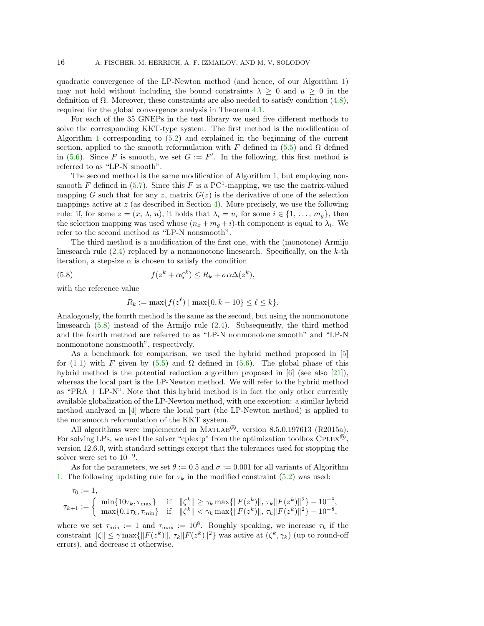quadratic convergence of the LP-Newton method (and hence, of our Algorithm [1\)](#page-3-1) may not hold without including the bound constraints  $\lambda \geq 0$  and  $u \geq 0$  in the definition of  $\Omega$ . Moreover, these constraints are also needed to satisfy condition [\(4.8\)](#page-10-2), required for the global convergence analysis in Theorem [4.1.](#page-10-3)

For each of the 35 GNEPs in the test library we used five different methods to solve the corresponding KKT-type system. The first method is the modification of Algorithm [1](#page-3-1) corresponding to [\(5.2\)](#page-12-3) and explained in the beginning of the current section, applied to the smooth reformulation with F defined in [\(5.5\)](#page-14-3) and  $\Omega$  defined in [\(5.6\)](#page-14-1). Since F is smooth, we set  $G := F'$ . In the following, this first method is referred to as "LP-N smooth".

The second method is the same modification of Algorithm [1,](#page-3-1) but employing nonsmooth F defined in  $(5.7)$ . Since this F is a PC<sup>1</sup>-mapping, we use the matrix-valued mapping G such that for any z, matrix  $G(z)$  is the derivative of one of the selection mappings active at  $z$  (as described in Section [4\)](#page-9-0). More precisely, we use the following rule: if, for some  $z = (x, \lambda, u)$ , it holds that  $\lambda_i = u_i$  for some  $i \in \{1, \ldots, m_q\}$ , then the selection mapping was used whose  $(n_x + m_g + i)$ -th component is equal to  $\lambda_i$ . We refer to the second method as "LP-N nonsmooth".

The third method is a modification of the first one, with the (monotone) Armijo linesearch rule  $(2.4)$  replaced by a nonmonotone linesearch. Specifically, on the k-th iteration, a stepsize  $\alpha$  is chosen to satisfy the condition

(5.8) 
$$
f(z^k + \alpha \zeta^k) \le R_k + \sigma \alpha \Delta(z^k),
$$

with the reference value

<span id="page-15-0"></span>
$$
R_k := \max\{f(z^{\ell}) \mid \max\{0, k - 10\} \le \ell \le k\}.
$$

Analogously, the fourth method is the same as the second, but using the nonmonotone linesearch [\(5.8\)](#page-15-0) instead of the Armijo rule [\(2.4\)](#page-3-2). Subsequently, the third method and the fourth method are referred to as "LP-N nonmonotone smooth" and "LP-N nonmonotone nonsmooth", respectively.

As a benchmark for comparison, we used the hybrid method proposed in [\[5\]](#page-20-9) for [\(1.1\)](#page-0-0) with F given by [\(5.5\)](#page-14-3) and  $\Omega$  defined in [\(5.6\)](#page-14-1). The global phase of this hybrid method is the potential reduction algorithm proposed in [\[6\]](#page-20-10) (see also [\[21\]](#page-20-11)), whereas the local part is the LP-Newton method. We will refer to the hybrid method as "PRA + LP-N". Note that this hybrid method is in fact the only other currently available globalization of the LP-Newton method, with one exception: a similar hybrid method analyzed in [\[4\]](#page-20-12) where the local part (the LP-Newton method) is applied to the nonsmooth reformulation of the KKT system.

All algorithms were implemented in MATLAB $\textcircled{B}$ , version 8.5.0.197613 (R2015a). For solving LPs, we used the solver "cplexlp" from the optimization toolbox  $\text{CPLEX}^{\circledR}$ , version 12.6.0, with standard settings except that the tolerances used for stopping the solver were set to  $10^{-9}$ .

As for the parameters, we set  $\theta := 0.5$  and  $\sigma := 0.001$  for all variants of Algorithm [1.](#page-3-1) The following updating rule for  $\tau_k$  in the modified constraint [\(5.2\)](#page-12-3) was used:

$$
\tau_0 := 1,
$$
\n
$$
\tau_{k+1} := \begin{cases}\n\min\{10\tau_k, \tau_{\max}\} & \text{if } \|\zeta^k\| \ge \gamma_k \max\{\|F(z^k)\|, \tau_k \|F(z^k)\|^2\} - 10^{-8}, \\
\max\{0.1\tau_k, \tau_{\min}\} & \text{if } \|\zeta^k\| < \gamma_k \max\{\|F(z^k)\|, \tau_k \|F(z^k)\|^2\} - 10^{-8},\n\end{cases}
$$

where we set  $\tau_{\min} := 1$  and  $\tau_{\max} := 10^8$ . Roughly speaking, we increase  $\tau_k$  if the constraint  $\|\zeta\| \leq \gamma \max\{\|F(z^k)\|, \tau_k \|F(z^k)\|^2\}$  was active at  $(\zeta^k, \gamma_k)$  (up to round-off errors), and decrease it otherwise.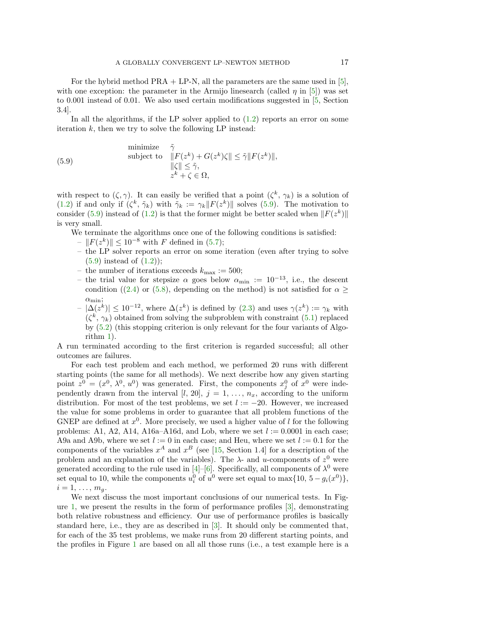For the hybrid method  $PRA + LP-N$ , all the parameters are the same used in [\[5\]](#page-20-9), with one exception: the parameter in the Armijo linesearch (called  $\eta$  in [\[5\]](#page-20-9)) was set to 0.001 instead of 0.01. We also used certain modifications suggested in [\[5,](#page-20-9) Section 3.4].

In all the algorithms, if the LP solver applied to  $(1.2)$  reports an error on some iteration  $k$ , then we try to solve the following LP instead:

<span id="page-16-0"></span>(5.9)

\n
$$
\text{minimize} \quad \tilde{\gamma}
$$
\n
$$
\|\tilde{F}(z^k) + G(z^k)\zeta\| \le \tilde{\gamma} \|F(z^k)\|,
$$
\n
$$
\|\zeta\| \le \tilde{\gamma},
$$
\n
$$
z^k + \zeta \in \Omega,
$$

with respect to  $(\zeta, \gamma)$ . It can easily be verified that a point  $(\zeta^k, \gamma_k)$  is a solution of [\(1.2\)](#page-0-1) if and only if  $(\zeta^k, \tilde{\gamma}_k)$  with  $\tilde{\gamma}_k := \gamma_k ||F(z^k)||$  solves [\(5.9\)](#page-16-0). The motivation to consider [\(5.9\)](#page-16-0) instead of [\(1.2\)](#page-0-1) is that the former might be better scaled when  $||F(z^k)||$ is very small.

- We terminate the algorithms once one of the following conditions is satisfied:
	- $||F(z^k)|| \leq 10^{-8}$  with F defined in [\(5.7\)](#page-14-2);
	- the LP solver reports an error on some iteration (even after trying to solve  $(5.9)$  instead of  $(1.2)$ ;
	- the number of iterations exceeds  $k_{\text{max}} := 500$ ;
	- the trial value for stepsize  $\alpha$  goes below  $\alpha_{\min} := 10^{-13}$ , i.e., the descent condition ([\(2.4\)](#page-3-2) or [\(5.8\)](#page-15-0), depending on the method) is not satisfied for  $\alpha \geq$  $\alpha_{\min};$
	- $-|\Delta(z^k)| \leq 10^{-12}$ , where  $\Delta(z^k)$  is defined by  $(2.3)$  and uses  $\gamma(z^k) := \gamma_k$  with  $(\zeta^k, \gamma_k)$  obtained from solving the subproblem with constraint  $(5.1)$  replaced by [\(5.2\)](#page-12-3) (this stopping criterion is only relevant for the four variants of Algorithm [1\)](#page-3-1).

A run terminated according to the first criterion is regarded successful; all other outcomes are failures.

For each test problem and each method, we performed 20 runs with different starting points (the same for all methods). We next describe how any given starting point  $z^0 = (x^0, \lambda^0, u^0)$  was generated. First, the components  $x_j^0$  of  $x^0$  were independently drawn from the interval [l, 20],  $j = 1, \ldots, n_x$ , according to the uniform distribution. For most of the test problems, we set  $l := -20$ . However, we increased the value for some problems in order to guarantee that all problem functions of the GNEP are defined at  $x^0$ . More precisely, we used a higher value of l for the following problems: A1, A2, A14, A16a–A16d, and Lob, where we set  $l := 0.0001$  in each case; A9a and A9b, where we set  $l := 0$  in each case; and Heu, where we set  $l := 0.1$  for the components of the variables  $x^A$  and  $x^B$  (see [\[15,](#page-20-19) Section 1.4] for a description of the problem and an explanation of the variables). The  $\lambda$ - and u-components of  $z^0$  were generated according to the rule used in [\[4\]](#page-20-12)–[\[6\]](#page-20-10). Specifically, all components of  $\lambda^0$  were set equal to 10, while the components  $u_i^0$  of  $u^0$  were set equal to  $\max\{10, 5 - g_i(x^0)\},$  $i=1,\ldots,m_a$ .

We next discuss the most important conclusions of our numerical tests. In Fig-ure [1,](#page-17-0) we present the results in the form of performance profiles  $[3]$ , demonstrating both relative robustness and efficiency. Our use of performance profiles is basically standard here, i.e., they are as described in [\[3\]](#page-20-20). It should only be commented that, for each of the 35 test problems, we make runs from 20 different starting points, and the profiles in Figure [1](#page-17-0) are based on all all those runs (i.e., a test example here is a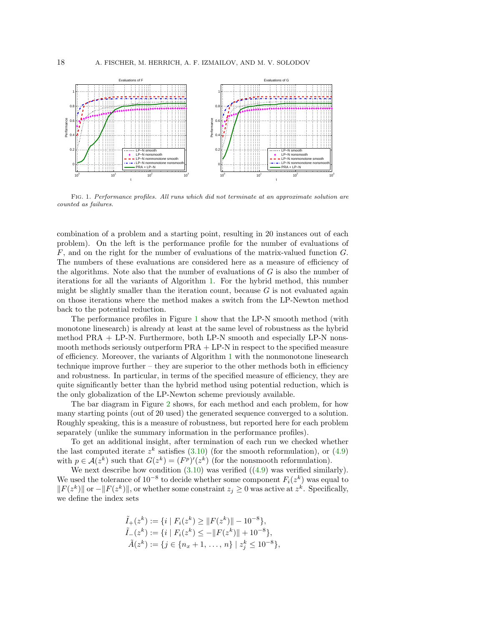<span id="page-17-0"></span>

Fig. 1. Performance profiles. All runs which did not terminate at an approximate solution are counted as failures.

combination of a problem and a starting point, resulting in 20 instances out of each problem). On the left is the performance profile for the number of evaluations of F, and on the right for the number of evaluations of the matrix-valued function G. The numbers of these evaluations are considered here as a measure of efficiency of the algorithms. Note also that the number of evaluations of  $G$  is also the number of iterations for all the variants of Algorithm [1.](#page-3-1) For the hybrid method, this number might be slightly smaller than the iteration count, because  $G$  is not evaluated again on those iterations where the method makes a switch from the LP-Newton method back to the potential reduction.

The performance profiles in Figure [1](#page-17-0) show that the LP-N smooth method (with monotone linesearch) is already at least at the same level of robustness as the hybrid method PRA + LP-N. Furthermore, both LP-N smooth and especially LP-N nonsmooth methods seriously outperform PRA + LP-N in respect to the specified measure of efficiency. Moreover, the variants of Algorithm [1](#page-3-1) with the nonmonotone linesearch technique improve further  $-$  they are superior to the other methods both in efficiency and robustness. In particular, in terms of the specified measure of efficiency, they are quite significantly better than the hybrid method using potential reduction, which is the only globalization of the LP-Newton scheme previously available.

The bar diagram in Figure [2](#page-18-0) shows, for each method and each problem, for how many starting points (out of 20 used) the generated sequence converged to a solution. Roughly speaking, this is a measure of robustness, but reported here for each problem separately (unlike the summary information in the performance profiles).

To get an additional insight, after termination of each run we checked whether the last computed iterate  $z^k$  satisfies [\(3.10\)](#page-6-1) (for the smooth reformulation), or [\(4.9\)](#page-10-5) with  $p \in \mathcal{A}(z^k)$  such that  $G(z^k) = (F^p)'(z^k)$  (for the nonsmooth reformulation).

We next describe how condition  $(3.10)$  was verified  $((4.9)$  $((4.9)$  was verified similarly). We used the tolerance of  $10^{-8}$  to decide whether some component  $F_i(z^k)$  was equal to  $||F(z^k)||$  or  $-||F(z^k)||$ , or whether some constraint  $z_j \geq 0$  was active at  $z^k$ . Specifically, we define the index sets

$$
\tilde{I}_{+}(z^{k}) := \{i \mid F_{i}(z^{k}) \geq ||F(z^{k})|| - 10^{-8}\},
$$
\n
$$
\tilde{I}_{-}(z^{k}) := \{i \mid F_{i}(z^{k}) \leq -||F(z^{k})|| + 10^{-8}\},
$$
\n
$$
\tilde{A}(z^{k}) := \{j \in \{n_{x} + 1, \ldots, n\} \mid z_{j}^{k} \leq 10^{-8}\},
$$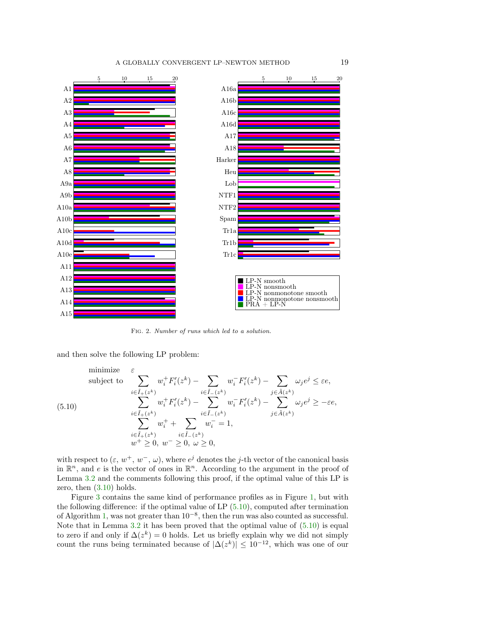### A GLOBALLY CONVERGENT LP-NEWTON METHOD 19

<span id="page-18-0"></span>

Fig. 2. Number of runs which led to a solution.

and then solve the following LP problem:

<span id="page-18-1"></span>minimize 
$$
\varepsilon
$$
  
\nsubject to  
\n
$$
\sum_{i \in \tilde{I}_{+}(z^{k})} w_{i}^{+} F'_{i}(z^{k}) - \sum_{i \in \tilde{I}_{-}(z^{k})} w_{i}^{-} F'_{i}(z^{k}) - \sum_{j \in \tilde{A}(z^{k})} \omega_{j} e^{j} \le \varepsilon e,
$$
\n
$$
(5.10)
$$
\n
$$
\sum_{i \in \tilde{I}_{+}(z^{k})} w_{i}^{+} F'_{i}(z^{k}) - \sum_{i \in \tilde{I}_{-}(z^{k})} w_{i}^{-} F'_{i}(z^{k}) - \sum_{j \in \tilde{A}(z^{k})} \omega_{j} e^{j} \ge -\varepsilon e,
$$
\n
$$
\sum_{i \in \tilde{I}_{+}(z^{k})} w_{i}^{+} + \sum_{i \in \tilde{I}_{-}(z^{k})} w_{i}^{-} = 1,
$$
\n
$$
w^{+} \ge 0, w^{-} \ge 0, \omega \ge 0,
$$

with respect to  $(\varepsilon, w^+, w^-, \omega)$ , where  $e^j$  denotes the j-th vector of the canonical basis in  $\mathbb{R}^n$ , and e is the vector of ones in  $\mathbb{R}^n$ . According to the argument in the proof of Lemma [3.2](#page-4-5) and the comments following this proof, if the optimal value of this LP is zero, then  $(3.10)$  holds.

Figure [3](#page-19-0) contains the same kind of performance profiles as in Figure [1,](#page-17-0) but with the following difference: if the optimal value of LP  $(5.10)$ , computed after termination of Algorithm [1,](#page-3-1) was not greater than  $10^{-8}$ , then the run was also counted as successful. Note that in Lemma [3.2](#page-4-5) it has been proved that the optimal value of [\(5.10\)](#page-18-1) is equal to zero if and only if  $\Delta(z^k) = 0$  holds. Let us briefly explain why we did not simply count the runs being terminated because of  $|\Delta(z^k)| \leq 10^{-12}$ , which was one of our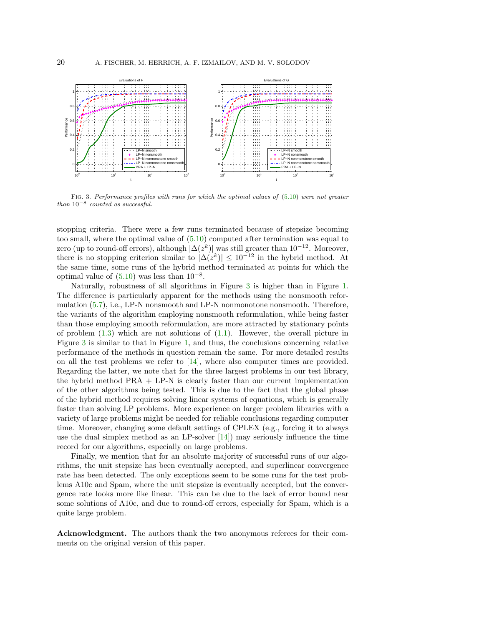<span id="page-19-0"></span>

FIG. 3. Performance profiles with runs for which the optimal values of  $(5.10)$  were not greater than  $10^{-8}$  counted as successful.

stopping criteria. There were a few runs terminated because of stepsize becoming too small, where the optimal value of [\(5.10\)](#page-18-1) computed after termination was equal to zero (up to round-off errors), although  $|\Delta(z^k)|$  was still greater than  $10^{-12}$ . Moreover, there is no stopping criterion similar to  $|\Delta(z^k)| \leq 10^{-12}$  in the hybrid method. At the same time, some runs of the hybrid method terminated at points for which the optimal value of  $(5.10)$  was less than  $10^{-8}$ .

Naturally, robustness of all algorithms in Figure [3](#page-19-0) is higher than in Figure [1.](#page-17-0) The difference is particularly apparent for the methods using the nonsmooth reformulation [\(5.7\)](#page-14-2), i.e., LP-N nonsmooth and LP-N nonmonotone nonsmooth. Therefore, the variants of the algorithm employing nonsmooth reformulation, while being faster than those employing smooth reformulation, are more attracted by stationary points of problem  $(1.3)$  which are not solutions of  $(1.1)$ . However, the overall picture in Figure [3](#page-19-0) is similar to that in Figure [1,](#page-17-0) and thus, the conclusions concerning relative performance of the methods in question remain the same. For more detailed results on all the test problems we refer to  $[14]$ , where also computer times are provided. Regarding the latter, we note that for the three largest problems in our test library, the hybrid method PRA + LP-N is clearly faster than our current implementation of the other algorithms being tested. This is due to the fact that the global phase of the hybrid method requires solving linear systems of equations, which is generally faster than solving LP problems. More experience on larger problem libraries with a variety of large problems might be needed for reliable conclusions regarding computer time. Moreover, changing some default settings of CPLEX (e.g., forcing it to always use the dual simplex method as an LP-solver  $[14]$  may seriously influence the time record for our algorithms, especially on large problems.

Finally, we mention that for an absolute majority of successful runs of our algorithms, the unit stepsize has been eventually accepted, and superlinear convergence rate has been detected. The only exceptions seem to be some runs for the test problems A10c and Spam, where the unit stepsize is eventually accepted, but the convergence rate looks more like linear. This can be due to the lack of error bound near some solutions of A10c, and due to round-off errors, especially for Spam, which is a quite large problem.

Acknowledgment. The authors thank the two anonymous referees for their comments on the original version of this paper.